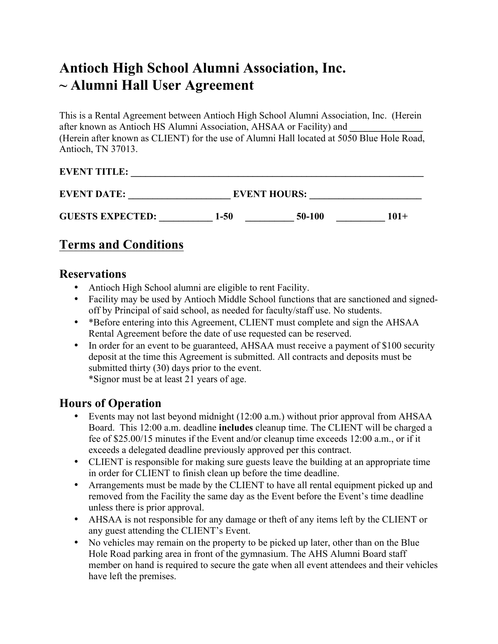# **Antioch High School Alumni Association, Inc. ~ Alumni Hall User Agreement**

This is a Rental Agreement between Antioch High School Alumni Association, Inc. (Herein after known as Antioch HS Alumni Association, AHSAA or Facility) and (Herein after known as CLIENT) for the use of Alumni Hall located at 5050 Blue Hole Road, Antioch, TN 37013.

#### **EVENT TITLE: \_\_\_\_\_\_\_\_\_\_\_\_\_\_\_\_\_\_\_\_\_\_\_\_\_\_\_\_\_\_\_\_\_\_\_\_\_\_\_\_\_\_\_\_\_\_\_\_\_\_\_\_\_\_\_\_\_\_\_\_**

| <b>EVENT DATE:</b>      | <b>EVENT HOURS:</b> |        |         |
|-------------------------|---------------------|--------|---------|
| <b>GUESTS EXPECTED:</b> | 1-50                | 50-100 | $101 +$ |

## **Terms and Conditions**

#### **Reservations**

- Antioch High School alumni are eligible to rent Facility.
- Facility may be used by Antioch Middle School functions that are sanctioned and signedoff by Principal of said school, as needed for faculty/staff use. No students.
- \*Before entering into this Agreement, CLIENT must complete and sign the AHSAA Rental Agreement before the date of use requested can be reserved.
- In order for an event to be guaranteed, AHSAA must receive a payment of \$100 security deposit at the time this Agreement is submitted. All contracts and deposits must be submitted thirty (30) days prior to the event. \*Signor must be at least 21 years of age.

**Hours of Operation**

- Events may not last beyond midnight (12:00 a.m.) without prior approval from AHSAA Board. This 12:00 a.m. deadline **includes** cleanup time. The CLIENT will be charged a fee of \$25.00/15 minutes if the Event and/or cleanup time exceeds 12:00 a.m., or if it exceeds a delegated deadline previously approved per this contract.
- CLIENT is responsible for making sure guests leave the building at an appropriate time in order for CLIENT to finish clean up before the time deadline.
- Arrangements must be made by the CLIENT to have all rental equipment picked up and removed from the Facility the same day as the Event before the Event's time deadline unless there is prior approval.
- AHSAA is not responsible for any damage or theft of any items left by the CLIENT or any guest attending the CLIENT's Event.
- No vehicles may remain on the property to be picked up later, other than on the Blue Hole Road parking area in front of the gymnasium. The AHS Alumni Board staff member on hand is required to secure the gate when all event attendees and their vehicles have left the premises.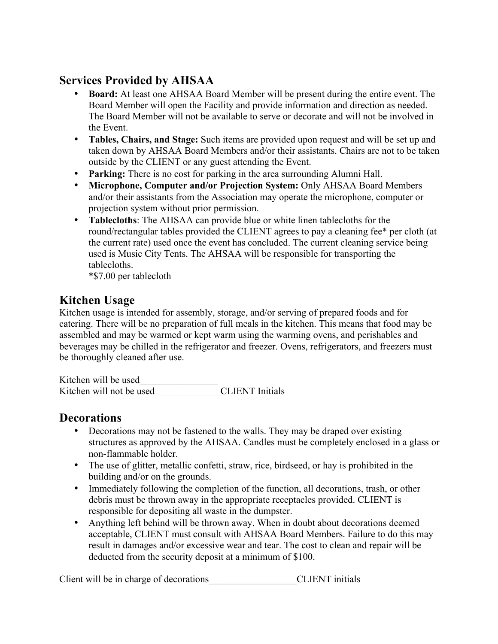## **Services Provided by AHSAA**

- **Board:** At least one AHSAA Board Member will be present during the entire event. The Board Member will open the Facility and provide information and direction as needed. The Board Member will not be available to serve or decorate and will not be involved in the Event.
- **Tables, Chairs, and Stage:** Such items are provided upon request and will be set up and taken down by AHSAA Board Members and/or their assistants. Chairs are not to be taken outside by the CLIENT or any guest attending the Event.
- **Parking:** There is no cost for parking in the area surrounding Alumni Hall.
- **Microphone, Computer and/or Projection System:** Only AHSAA Board Members and/or their assistants from the Association may operate the microphone, computer or projection system without prior permission.
- **Tablecloths**: The AHSAA can provide blue or white linen tablecloths for the round/rectangular tables provided the CLIENT agrees to pay a cleaning fee\* per cloth (at the current rate) used once the event has concluded. The current cleaning service being used is Music City Tents. The AHSAA will be responsible for transporting the tablecloths.

\*\$7.00 per tablecloth

## **Kitchen Usage**

Kitchen usage is intended for assembly, storage, and/or serving of prepared foods and for catering. There will be no preparation of full meals in the kitchen. This means that food may be assembled and may be warmed or kept warm using the warming ovens, and perishables and beverages may be chilled in the refrigerator and freezer. Ovens, refrigerators, and freezers must be thoroughly cleaned after use.

Kitchen will be used\_\_\_\_\_\_\_\_\_\_\_\_\_\_\_\_ Kitchen will not be used CLIENT Initials

## **Decorations**

- Decorations may not be fastened to the walls. They may be draped over existing structures as approved by the AHSAA. Candles must be completely enclosed in a glass or non-flammable holder.
- The use of glitter, metallic confetti, straw, rice, birdseed, or hay is prohibited in the building and/or on the grounds.
- Immediately following the completion of the function, all decorations, trash, or other debris must be thrown away in the appropriate receptacles provided. CLIENT is responsible for depositing all waste in the dumpster.
- Anything left behind will be thrown away. When in doubt about decorations deemed acceptable, CLIENT must consult with AHSAA Board Members. Failure to do this may result in damages and/or excessive wear and tear. The cost to clean and repair will be deducted from the security deposit at a minimum of \$100.

Client will be in charge of decorations <br>CLIENT initials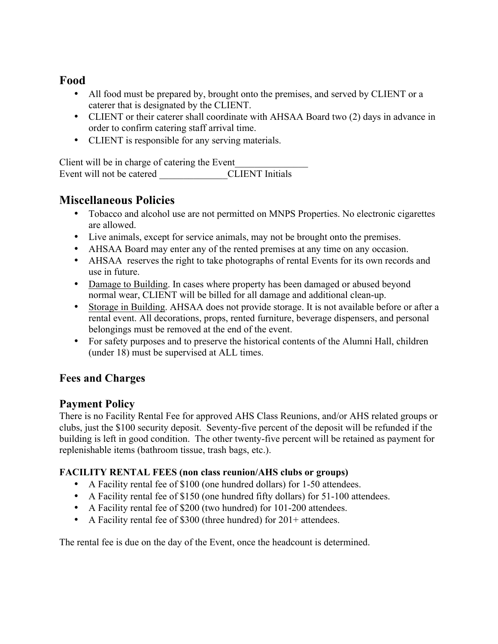## **Food**

- All food must be prepared by, brought onto the premises, and served by CLIENT or a caterer that is designated by the CLIENT.
- CLIENT or their caterer shall coordinate with AHSAA Board two (2) days in advance in order to confirm catering staff arrival time.
- CLIENT is responsible for any serving materials.

Client will be in charge of catering the Event Event will not be catered <br>CLIENT Initials

## **Miscellaneous Policies**

- Tobacco and alcohol use are not permitted on MNPS Properties. No electronic cigarettes are allowed.
- Live animals, except for service animals, may not be brought onto the premises.
- AHSAA Board may enter any of the rented premises at any time on any occasion.
- AHSAA reserves the right to take photographs of rental Events for its own records and use in future.
- Damage to Building. In cases where property has been damaged or abused beyond normal wear, CLIENT will be billed for all damage and additional clean-up.
- Storage in Building. AHSAA does not provide storage. It is not available before or after a rental event. All decorations, props, rented furniture, beverage dispensers, and personal belongings must be removed at the end of the event.
- For safety purposes and to preserve the historical contents of the Alumni Hall, children (under 18) must be supervised at ALL times.

#### **Fees and Charges**

#### **Payment Policy**

There is no Facility Rental Fee for approved AHS Class Reunions, and/or AHS related groups or clubs, just the \$100 security deposit. Seventy-five percent of the deposit will be refunded if the building is left in good condition. The other twenty-five percent will be retained as payment for replenishable items (bathroom tissue, trash bags, etc.).

#### **FACILITY RENTAL FEES (non class reunion/AHS clubs or groups)**

- A Facility rental fee of \$100 (one hundred dollars) for 1-50 attendees.
- A Facility rental fee of \$150 (one hundred fifty dollars) for 51-100 attendees.
- A Facility rental fee of \$200 (two hundred) for 101-200 attendees.
- A Facility rental fee of \$300 (three hundred) for 201+ attendees.

The rental fee is due on the day of the Event, once the headcount is determined.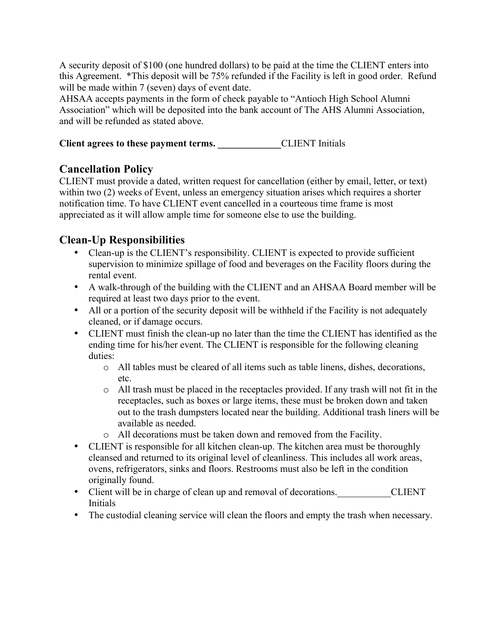A security deposit of \$100 (one hundred dollars) to be paid at the time the CLIENT enters into this Agreement. \*This deposit will be 75% refunded if the Facility is left in good order. Refund will be made within 7 (seven) days of event date.

AHSAA accepts payments in the form of check payable to "Antioch High School Alumni Association" which will be deposited into the bank account of The AHS Alumni Association, and will be refunded as stated above.

**Client agrees to these payment terms. \_\_\_\_\_\_\_\_\_\_\_\_\_**CLIENT Initials

### **Cancellation Policy**

CLIENT must provide a dated, written request for cancellation (either by email, letter, or text) within two (2) weeks of Event, unless an emergency situation arises which requires a shorter notification time. To have CLIENT event cancelled in a courteous time frame is most appreciated as it will allow ample time for someone else to use the building.

## **Clean-Up Responsibilities**

- Clean-up is the CLIENT's responsibility. CLIENT is expected to provide sufficient supervision to minimize spillage of food and beverages on the Facility floors during the rental event.
- A walk-through of the building with the CLIENT and an AHSAA Board member will be required at least two days prior to the event.
- All or a portion of the security deposit will be withheld if the Facility is not adequately cleaned, or if damage occurs.
- CLIENT must finish the clean-up no later than the time the CLIENT has identified as the ending time for his/her event. The CLIENT is responsible for the following cleaning duties:
	- o All tables must be cleared of all items such as table linens, dishes, decorations, etc.
	- o All trash must be placed in the receptacles provided. If any trash will not fit in the receptacles, such as boxes or large items, these must be broken down and taken out to the trash dumpsters located near the building. Additional trash liners will be available as needed.
	- o All decorations must be taken down and removed from the Facility.
- CLIENT is responsible for all kitchen clean-up. The kitchen area must be thoroughly cleansed and returned to its original level of cleanliness. This includes all work areas, ovens, refrigerators, sinks and floors. Restrooms must also be left in the condition originally found.
- Client will be in charge of clean up and removal of decorations. CLIENT Initials
- The custodial cleaning service will clean the floors and empty the trash when necessary.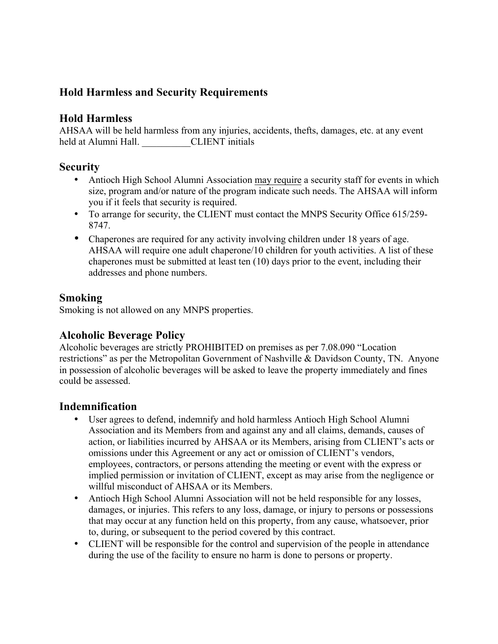## **Hold Harmless and Security Requirements**

#### **Hold Harmless**

AHSAA will be held harmless from any injuries, accidents, thefts, damages, etc. at any event held at Alumni Hall. CLIENT initials

#### **Security**

- Antioch High School Alumni Association may require a security staff for events in which size, program and/or nature of the program indicate such needs. The AHSAA will inform you if it feels that security is required.
- To arrange for security, the CLIENT must contact the MNPS Security Office 615/259- 8747.
- Chaperones are required for any activity involving children under 18 years of age. AHSAA will require one adult chaperone/10 children for youth activities. A list of these chaperones must be submitted at least ten (10) days prior to the event, including their addresses and phone numbers.

#### **Smoking**

Smoking is not allowed on any MNPS properties.

#### **Alcoholic Beverage Policy**

Alcoholic beverages are strictly PROHIBITED on premises as per 7.08.090 "Location restrictions" as per the Metropolitan Government of Nashville & Davidson County, TN. Anyone in possession of alcoholic beverages will be asked to leave the property immediately and fines could be assessed.

#### **Indemnification**

- User agrees to defend, indemnify and hold harmless Antioch High School Alumni Association and its Members from and against any and all claims, demands, causes of action, or liabilities incurred by AHSAA or its Members, arising from CLIENT's acts or omissions under this Agreement or any act or omission of CLIENT's vendors, employees, contractors, or persons attending the meeting or event with the express or implied permission or invitation of CLIENT, except as may arise from the negligence or willful misconduct of AHSAA or its Members.
- Antioch High School Alumni Association will not be held responsible for any losses, damages, or injuries. This refers to any loss, damage, or injury to persons or possessions that may occur at any function held on this property, from any cause, whatsoever, prior to, during, or subsequent to the period covered by this contract.
- CLIENT will be responsible for the control and supervision of the people in attendance during the use of the facility to ensure no harm is done to persons or property.